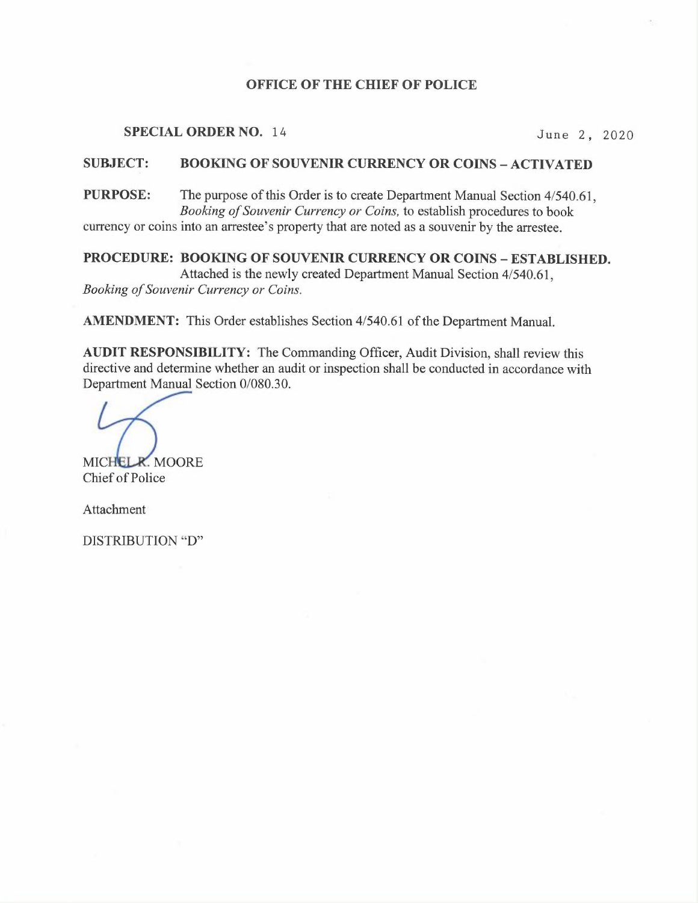### OFFICE OF THE CHIEF OF POLICE

## SPECIAL ORDER NO. 14 June 2, 2020

## SUBJECT: BOOKING OF SOUVENIR CURRENCY OR COINS – ACTIVATED

<sup>P</sup>URPOSE: The purpose of this Order is to create Department Manual Section 4/540.61, <sup>B</sup>ooking of Souvenir Currency or Coins, to establish procedures to book <sup>c</sup>urrency or coins into an arrestee's property that are noted as a souvenir by the arrestee.

# PROCEDURE: BOOKING OF SOUVENIR CURRENCY OR COINS - ESTABLISHED.

<sup>A</sup>ttached is the newly created Department Manual Section 4/540.61, <sup>B</sup>ooking of Souvenir Currency or Coins.

AMENDMENT: This Order establishes Section 4/540.61 of the Department Manual.

<sup>A</sup>UDIT RESPONSIBILITY: The Commanding Officer, Audit Division, shall review this directive and determine whether an audit or inspection shall be conducted in accordance with <sup>D</sup>epartment Manual Section 0/080.30.

MICHEL R. MOORE Chief of Police

Attachment

DISTRIBUTION "D"